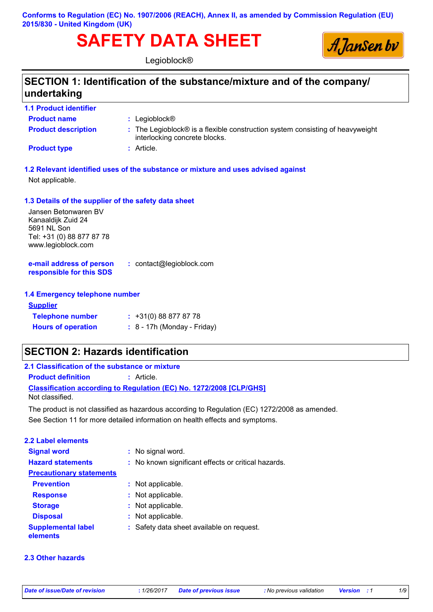**Conforms to Regulation (EC) No. 1907/2006 (REACH), Annex II, as amended by Commission Regulation (EU) 2015/830 - United Kingdom (UK)**

# **SAFETY DATA SHEET**



Legioblock®

### **SECTION 1: Identification of the substance/mixture and of the company/ undertaking**

| <b>1.1 Product identifier</b> |                                                                                                                                      |
|-------------------------------|--------------------------------------------------------------------------------------------------------------------------------------|
| <b>Product name</b>           | : Legioblock $\circledR$                                                                                                             |
| <b>Product description</b>    | $\therefore$ The Legioblock $\circledR$ is a flexible construction system consisting of heavyweight<br>interlocking concrete blocks. |
| <b>Product type</b>           | : Article.                                                                                                                           |

**1.2 Relevant identified uses of the substance or mixture and uses advised against**

Not applicable.

#### **1.3 Details of the supplier of the safety data sheet**

Jansen Betonwaren BV Kanaaldijk Zuid 24 5691 NL Son Tel: +31 (0) 88 877 87 78 www.legioblock.com

**e-mail address of person responsible for this SDS :** contact@legioblock.com

#### **1.4 Emergency telephone number**

| <b>Supplier</b>           |                               |
|---------------------------|-------------------------------|
| <b>Telephone number</b>   | $: +31(0)888778778$           |
| <b>Hours of operation</b> | $: 8 - 17h$ (Monday - Friday) |

### **SECTION 2: Hazards identification**

**2.1 Classification of the substance or mixture**

**Product definition :** Article.

**Classification according to Regulation (EC) No. 1272/2008 [CLP/GHS]** Not classified.

See Section 11 for more detailed information on health effects and symptoms. The product is not classified as hazardous according to Regulation (EC) 1272/2008 as amended.

| <b>2.2 Label elements</b>             |                                                     |
|---------------------------------------|-----------------------------------------------------|
| <b>Signal word</b>                    | : No signal word.                                   |
| <b>Hazard statements</b>              | : No known significant effects or critical hazards. |
| <b>Precautionary statements</b>       |                                                     |
| <b>Prevention</b>                     | : Not applicable.                                   |
| <b>Response</b>                       | : Not applicable.                                   |
| <b>Storage</b>                        | : Not applicable.                                   |
| <b>Disposal</b>                       | : Not applicable.                                   |
| <b>Supplemental label</b><br>elements | : Safety data sheet available on request.           |

#### **2.3 Other hazards**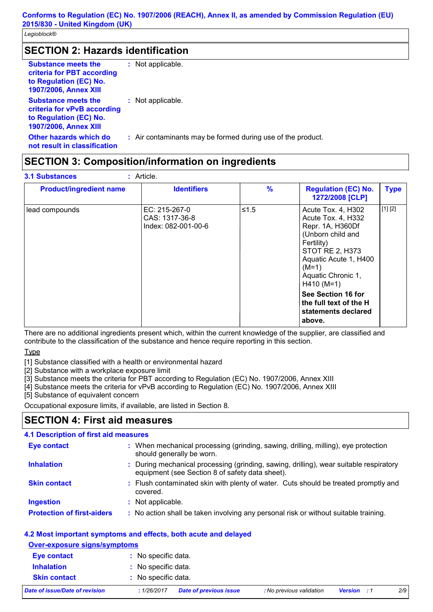### **SECTION 2: Hazards identification**

| <b>Substance meets the</b><br>criteria for PBT according<br>to Regulation (EC) No.<br><b>1907/2006, Annex XIII</b>  | : Not applicable.                                           |
|---------------------------------------------------------------------------------------------------------------------|-------------------------------------------------------------|
| <b>Substance meets the</b><br>criteria for vPvB according<br>to Regulation (EC) No.<br><b>1907/2006, Annex XIII</b> | : Not applicable.                                           |
| Other hazards which do<br>not result in classification                                                              | : Air contaminants may be formed during use of the product. |

### **SECTION 3: Composition/information on ingredients**

| <b>Product/ingredient name</b> | <b>Identifiers</b>                                     | $\frac{9}{6}$ | <b>Regulation (EC) No.</b><br>1272/2008 [CLP]                                                                                                                                                       | <b>Type</b> |
|--------------------------------|--------------------------------------------------------|---------------|-----------------------------------------------------------------------------------------------------------------------------------------------------------------------------------------------------|-------------|
| lead compounds                 | EC: 215-267-0<br>CAS: 1317-36-8<br>Index: 082-001-00-6 | ≤1.5          | Acute Tox. 4, H302<br>Acute Tox. 4, H332<br>Repr. 1A, H360Df<br>(Unborn child and<br>Fertility)<br><b>STOT RE 2, H373</b><br>Aquatic Acute 1, H400<br>$(M=1)$<br>Aquatic Chronic 1,<br>$H410 (M=1)$ | [1] [2]     |
|                                |                                                        |               | See Section 16 for<br>the full text of the H<br>statements declared<br>above.                                                                                                                       |             |

There are no additional ingredients present which, within the current knowledge of the supplier, are classified and contribute to the classification of the substance and hence require reporting in this section.

**Type** 

[1] Substance classified with a health or environmental hazard

[2] Substance with a workplace exposure limit

[3] Substance meets the criteria for PBT according to Regulation (EC) No. 1907/2006, Annex XIII

[4] Substance meets the criteria for vPvB according to Regulation (EC) No. 1907/2006, Annex XIII

[5] Substance of equivalent concern

Occupational exposure limits, if available, are listed in Section 8.

### **SECTION 4: First aid measures**

#### **4.1 Description of first aid measures**

| <b>Eye contact</b>                | : When mechanical processing (grinding, sawing, drilling, milling), eye protection<br>should generally be worn.                           |
|-----------------------------------|-------------------------------------------------------------------------------------------------------------------------------------------|
| <b>Inhalation</b>                 | : During mechanical processing (grinding, sawing, drilling), wear suitable respiratory<br>equipment (see Section 8 of safety data sheet). |
| <b>Skin contact</b>               | : Flush contaminated skin with plenty of water. Cuts should be treated promptly and<br>covered.                                           |
| <b>Ingestion</b>                  | : Not applicable.                                                                                                                         |
| <b>Protection of first-aiders</b> | : No action shall be taken involving any personal risk or without suitable training.                                                      |

#### **4.2 Most important symptoms and effects, both acute and delayed**

|  | <b>Over-exposure signs/symptoms</b> |  |
|--|-------------------------------------|--|
|  |                                     |  |

| Date of issue/Date of revision | : 1/26/2017         | Date of previous issue | : No previous validation | <b>Version</b> : 1 | 2/9 |
|--------------------------------|---------------------|------------------------|--------------------------|--------------------|-----|
| <b>Skin contact</b>            | : No specific data. |                        |                          |                    |     |
| <b>Inhalation</b>              | : No specific data. |                        |                          |                    |     |
| Eye contact                    | : No specific data. |                        |                          |                    |     |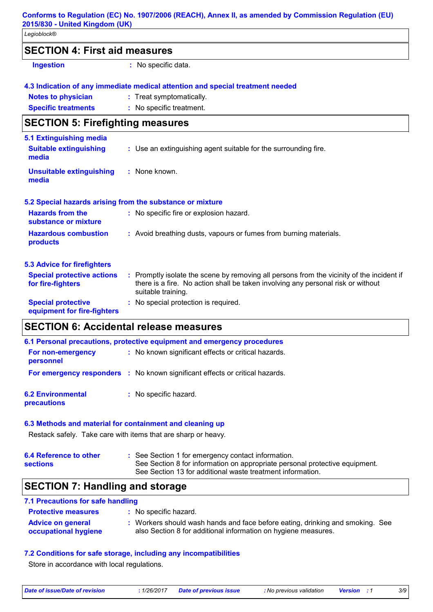#### **Conforms to Regulation (EC) No. 1907/2006 (REACH), Annex II, as amended by Commission Regulation (EU) 2015/830 - United Kingdom (UK)**

*Legioblock®*

| <b>SECTION 4: First aid measures</b> |  |
|--------------------------------------|--|
|--------------------------------------|--|

**Ingestion :** No specific data.

#### **4.3 Indication of any immediate medical attention and special treatment needed**

| <b>Notes to physician</b>  | : Treat symptomatically. |
|----------------------------|--------------------------|
| <b>Specific treatments</b> | : No specific treatment. |

### **SECTION 5: Firefighting measures**

| 5.1 Extinguishing media                                |                                                                                                                                                                                                     |
|--------------------------------------------------------|-----------------------------------------------------------------------------------------------------------------------------------------------------------------------------------------------------|
| <b>Suitable extinguishing</b><br>media                 | : Use an extinguishing agent suitable for the surrounding fire.                                                                                                                                     |
| <b>Unsuitable extinguishing</b><br>media               | : None known.                                                                                                                                                                                       |
|                                                        | 5.2 Special hazards arising from the substance or mixture                                                                                                                                           |
| <b>Hazards from the</b><br>substance or mixture        | : No specific fire or explosion hazard.                                                                                                                                                             |
| <b>Hazardous combustion</b><br>products                | : Avoid breathing dusts, vapours or fumes from burning materials.                                                                                                                                   |
| <b>5.3 Advice for firefighters</b>                     |                                                                                                                                                                                                     |
| <b>Special protective actions</b><br>for fire-fighters | : Promptly isolate the scene by removing all persons from the vicinity of the incident if<br>there is a fire. No action shall be taken involving any personal risk or without<br>suitable training. |
| <b>Special protective</b>                              | : No special protection is required.                                                                                                                                                                |

**equipment for fire-fighters**

### **SECTION 6: Accidental release measures**

| 6.1 Personal precautions, protective equipment and emergency procedures |                                                                              |  |
|-------------------------------------------------------------------------|------------------------------------------------------------------------------|--|
| For non-emergency<br>personnel                                          | : No known significant effects or critical hazards.                          |  |
|                                                                         | For emergency responders : No known significant effects or critical hazards. |  |
| <b>6.2 Environmental</b><br>precautions                                 | : No specific hazard.                                                        |  |

#### **6.3 Methods and material for containment and cleaning up**

Restack safely. Take care with items that are sharp or heavy.

| 6.4 Reference to other | : See Section 1 for emergency contact information.                          |
|------------------------|-----------------------------------------------------------------------------|
| <b>sections</b>        | See Section 8 for information on appropriate personal protective equipment. |
|                        | See Section 13 for additional waste treatment information.                  |

### **SECTION 7: Handling and storage**

#### **7.1 Precautions for safe handling**

| <b>Protective measures</b>                       | : No specific hazard.                                                                                                                           |
|--------------------------------------------------|-------------------------------------------------------------------------------------------------------------------------------------------------|
| <b>Advice on general</b><br>occupational hygiene | : Workers should wash hands and face before eating, drinking and smoking. See<br>also Section 8 for additional information on hygiene measures. |

#### **7.2 Conditions for safe storage, including any incompatibilities**

Store in accordance with local regulations.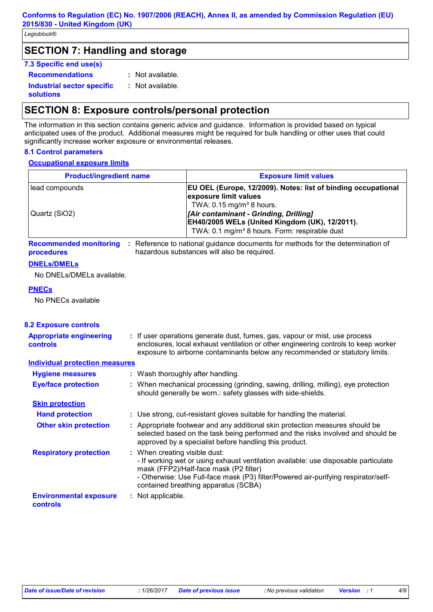### **SECTION 7: Handling and storage**

#### **7.3 Specific end use(s)**

**Recommendations :**

: Not available. : Not available.

**Industrial sector specific : solutions**

### **SECTION 8: Exposure controls/personal protection**

The information in this section contains generic advice and guidance. Information is provided based on typical anticipated uses of the product. Additional measures might be required for bulk handling or other uses that could significantly increase worker exposure or environmental releases.

#### **8.1 Control parameters**

#### **Occupational exposure limits**

| <b>Product/ingredient name</b>                                    |                               | <b>Exposure limit values</b>                                                                                                                                                                                                                                                            |
|-------------------------------------------------------------------|-------------------------------|-----------------------------------------------------------------------------------------------------------------------------------------------------------------------------------------------------------------------------------------------------------------------------------------|
| lead compounds<br>Quartz (SiO2)                                   |                               | EU OEL (Europe, 12/2009). Notes: list of binding occupational<br>exposure limit values<br>TWA: 0.15 mg/m <sup>3</sup> 8 hours.<br>[Air contaminant - Grinding, Drilling]<br>EH40/2005 WELs (United Kingdom (UK), 12/2011).<br>TWA: 0.1 mg/m <sup>3</sup> 8 hours. Form: respirable dust |
| <b>Recommended monitoring</b><br>procedures<br><b>DNELS/DMELS</b> |                               | : Reference to national guidance documents for methods for the determination of<br>hazardous substances will also be required.                                                                                                                                                          |
| No DNELs/DMELs available.                                         |                               |                                                                                                                                                                                                                                                                                         |
| <b>PNECs</b><br>No PNECs available                                |                               |                                                                                                                                                                                                                                                                                         |
| <b>8.2 Exposure controls</b>                                      |                               |                                                                                                                                                                                                                                                                                         |
| <b>Appropriate engineering</b><br>controls                        |                               | : If user operations generate dust, fumes, gas, vapour or mist, use process<br>enclosures, local exhaust ventilation or other engineering controls to keep worker<br>exposure to airborne contaminants below any recommended or statutory limits.                                       |
| <b>Individual protection measures</b>                             |                               |                                                                                                                                                                                                                                                                                         |
| <b>Hygiene measures</b>                                           |                               | : Wash thoroughly after handling.                                                                                                                                                                                                                                                       |
| <b>Eye/face protection</b>                                        |                               | : When mechanical processing (grinding, sawing, drilling, milling), eye protection<br>should generally be worn.: safety glasses with side-shields.                                                                                                                                      |
| <b>Skin protection</b>                                            |                               |                                                                                                                                                                                                                                                                                         |
| <b>Hand protection</b>                                            |                               | : Use strong, cut-resistant gloves suitable for handling the material.                                                                                                                                                                                                                  |
| <b>Other skin protection</b>                                      |                               | : Appropriate footwear and any additional skin protection measures should be<br>selected based on the task being performed and the risks involved and should be<br>approved by a specialist before handling this product.                                                               |
| <b>Respiratory protection</b>                                     | : When creating visible dust: | - If working wet or using exhaust ventilation available: use disposable particulate<br>mask (FFP2)/Half-face mask (P2 filter)<br>- Otherwise: Use Full-face mask (P3) filter/Powered air-purifying respirator/self-<br>contained breathing apparatus (SCBA)                             |
| <b>Environmental exposure</b><br>controls                         | : Not applicable.             |                                                                                                                                                                                                                                                                                         |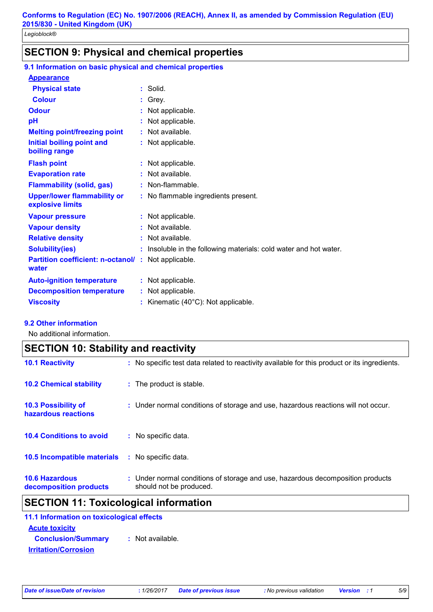### **SECTION 9: Physical and chemical properties**

| 9.1 Information on basic physical and chemical properties   |                                                                   |
|-------------------------------------------------------------|-------------------------------------------------------------------|
| <b>Appearance</b>                                           |                                                                   |
| <b>Physical state</b>                                       | $:$ Solid.                                                        |
| <b>Colour</b>                                               | : Grey.                                                           |
| <b>Odour</b>                                                | : Not applicable.                                                 |
| pH                                                          | : Not applicable.                                                 |
| <b>Melting point/freezing point</b>                         | $:$ Not available.                                                |
| <b>Initial boiling point and</b><br>boiling range           | : Not applicable.                                                 |
| <b>Flash point</b>                                          | : Not applicable.                                                 |
| <b>Evaporation rate</b>                                     | : Not available.                                                  |
| <b>Flammability (solid, gas)</b>                            | : Non-flammable.                                                  |
| <b>Upper/lower flammability or</b><br>explosive limits      | : No flammable ingredients present.                               |
| <b>Vapour pressure</b>                                      | : Not applicable.                                                 |
| <b>Vapour density</b>                                       | : Not available.                                                  |
| <b>Relative density</b>                                     | $:$ Not available.                                                |
| <b>Solubility(ies)</b>                                      | : Insoluble in the following materials: cold water and hot water. |
| Partition coefficient: n-octanol/: Not applicable.<br>water |                                                                   |
| <b>Auto-ignition temperature</b>                            | : Not applicable.                                                 |
| <b>Decomposition temperature</b>                            | : Not applicable.                                                 |
| <b>Viscosity</b>                                            | : Kinematic $(40^{\circ}$ C): Not applicable.                     |
|                                                             |                                                                   |

#### **9.2 Other information**

No additional information.

| <b>SECTION 10: Stability and reactivity</b>       |                                                                                                           |  |
|---------------------------------------------------|-----------------------------------------------------------------------------------------------------------|--|
| <b>10.1 Reactivity</b>                            | : No specific test data related to reactivity available for this product or its ingredients.              |  |
| <b>10.2 Chemical stability</b>                    | : The product is stable.                                                                                  |  |
| <b>10.3 Possibility of</b><br>hazardous reactions | : Under normal conditions of storage and use, hazardous reactions will not occur.                         |  |
| <b>10.4 Conditions to avoid</b>                   | : No specific data.                                                                                       |  |
| <b>10.5 Incompatible materials</b>                | : No specific data.                                                                                       |  |
| <b>10.6 Hazardous</b><br>decomposition products   | : Under normal conditions of storage and use, hazardous decomposition products<br>should not be produced. |  |

## **SECTION 11: Toxicological information**

| 11.1 Information on toxicological effects                |                  |
|----------------------------------------------------------|------------------|
| <b>Acute toxicity</b>                                    |                  |
| <b>Conclusion/Summary</b><br><b>Irritation/Corrosion</b> | : Not available. |
|                                                          |                  |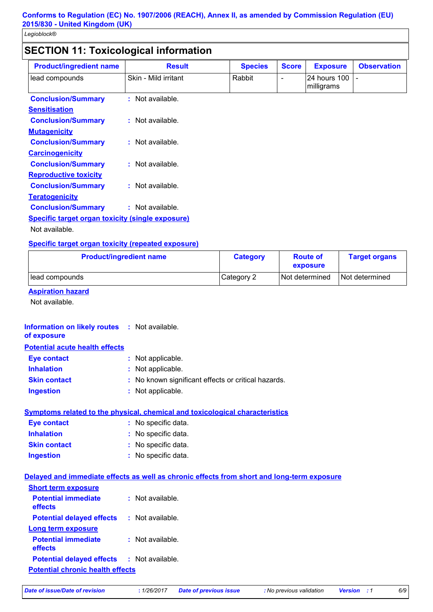### **SECTION 11: Toxicological information**

| <b>Product/ingredient name</b>                          | <b>Result</b>        | <b>Species</b> | <b>Score</b>             | <b>Exposure</b>             | <b>Observation</b> |
|---------------------------------------------------------|----------------------|----------------|--------------------------|-----------------------------|--------------------|
| lead compounds                                          | Skin - Mild irritant | Rabbit         | $\overline{\phantom{0}}$ | l24 hours 100<br>milligrams |                    |
| <b>Conclusion/Summary</b>                               | : Not available.     |                |                          |                             |                    |
| <b>Sensitisation</b>                                    |                      |                |                          |                             |                    |
| <b>Conclusion/Summary</b>                               | : Not available.     |                |                          |                             |                    |
| <b>Mutagenicity</b>                                     |                      |                |                          |                             |                    |
| <b>Conclusion/Summary</b>                               | $:$ Not available.   |                |                          |                             |                    |
| <b>Carcinogenicity</b>                                  |                      |                |                          |                             |                    |
| <b>Conclusion/Summary</b>                               | : Not available.     |                |                          |                             |                    |
| <b>Reproductive toxicity</b>                            |                      |                |                          |                             |                    |
| <b>Conclusion/Summary</b>                               | : Not available.     |                |                          |                             |                    |
| <b>Teratogenicity</b>                                   |                      |                |                          |                             |                    |
| <b>Conclusion/Summary</b>                               | : Not available.     |                |                          |                             |                    |
| <b>Specific target organ toxicity (single exposure)</b> |                      |                |                          |                             |                    |
| Not available.                                          |                      |                |                          |                             |                    |

#### **Specific target organ toxicity (repeated exposure)**

| <b>Product/ingredient name</b> | <b>Category</b> | <b>Route of</b><br>exposure | <b>Target organs</b> |
|--------------------------------|-----------------|-----------------------------|----------------------|
| lead compounds                 | Category 2      | Not determined              | Not determined       |

#### **Aspiration hazard**

Not available.

### **Potential acute health effects Inhalation :** Not applicable. **Ingestion :** Not applicable. **Skin contact :** No known significant effects or critical hazards. **Eye contact :** Not applicable. **Information on likely routes : Not available. of exposure**

#### **Symptoms related to the physical, chemical and toxicological characteristics**

| <b>Eye contact</b>  | : No specific data. |
|---------------------|---------------------|
| <b>Inhalation</b>   | : No specific data. |
| <b>Skin contact</b> | : No specific data. |
| <b>Ingestion</b>    | : No specific data. |

#### **Delayed and immediate effects as well as chronic effects from short and long-term exposure**

| <b>Short term exposure</b>              |                    |
|-----------------------------------------|--------------------|
| <b>Potential immediate</b><br>effects   | Not available.     |
| <b>Potential delayed effects</b>        | $:$ Not available. |
| Long term exposure                      |                    |
| <b>Potential immediate</b><br>effects   | $:$ Not available. |
| <b>Potential delayed effects</b>        | : Not available.   |
| <b>Potential chronic health effects</b> |                    |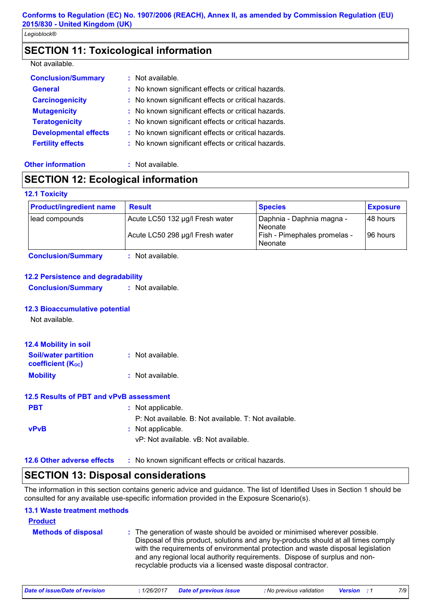### **SECTION 11: Toxicological information**

#### Not available.

| <b>Conclusion/Summary</b>    | $:$ Not available.                                  |
|------------------------------|-----------------------------------------------------|
| <b>General</b>               | : No known significant effects or critical hazards. |
| <b>Carcinogenicity</b>       | : No known significant effects or critical hazards. |
| <b>Mutagenicity</b>          | : No known significant effects or critical hazards. |
| <b>Teratogenicity</b>        | : No known significant effects or critical hazards. |
| <b>Developmental effects</b> | : No known significant effects or critical hazards. |
| <b>Fertility effects</b>     | : No known significant effects or critical hazards. |
|                              |                                                     |

#### **Other information :** Not available.

### **SECTION 12: Ecological information**

#### **12.1 Toxicity**

| <b>Product/ingredient name</b> | <b>Result</b>                   | <b>Species</b>                                        | <b>Exposure</b> |
|--------------------------------|---------------------------------|-------------------------------------------------------|-----------------|
| lead compounds                 | Acute LC50 132 µg/l Fresh water | Daphnia - Daphnia magna -<br>Neonate                  | 148 hours       |
|                                | Acute LC50 298 µg/l Fresh water | <b>Fish - Pimephales promelas -</b><br><b>Neonate</b> | 196 hours       |

**Conclusion/Summary :** Not available.

#### **12.2 Persistence and degradability**

**Conclusion/Summary :** Not available.

#### **12.3 Bioaccumulative potential**

Not available.

| <b>12.4 Mobility in soil</b>                            |                  |
|---------------------------------------------------------|------------------|
| <b>Soil/water partition</b><br><b>coefficient (Koc)</b> | : Not available. |
| <b>Mobility</b>                                         | : Not available. |

### **12.5 Results of PBT and vPvB assessment**

| <b>PBT</b>  | : Not applicable.                                     |
|-------------|-------------------------------------------------------|
|             | P: Not available. B: Not available. T: Not available. |
| <b>vPvB</b> | : Not applicable.                                     |
|             | vP: Not available. vB: Not available.                 |
|             |                                                       |

#### **12.6 Other adverse effects** : No known significant effects or critical hazards.

### **SECTION 13: Disposal considerations**

The information in this section contains generic advice and guidance. The list of Identified Uses in Section 1 should be consulted for any available use-specific information provided in the Exposure Scenario(s).

#### **13.1 Waste treatment methods**

**Product**

| <b>Product</b>             |                                                                                                                                                                                                                                                                                                                                                                                                      |
|----------------------------|------------------------------------------------------------------------------------------------------------------------------------------------------------------------------------------------------------------------------------------------------------------------------------------------------------------------------------------------------------------------------------------------------|
| <b>Methods of disposal</b> | : The generation of waste should be avoided or minimised wherever possible.<br>Disposal of this product, solutions and any by-products should at all times comply<br>with the requirements of environmental protection and waste disposal legislation<br>and any regional local authority requirements. Dispose of surplus and non-<br>recyclable products via a licensed waste disposal contractor. |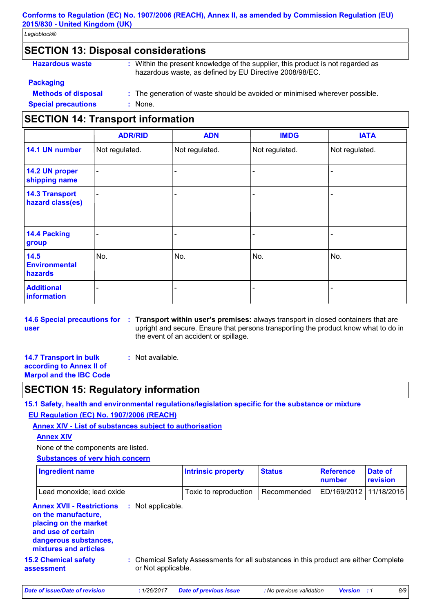#### **Conforms to Regulation (EC) No. 1907/2006 (REACH), Annex II, as amended by Commission Regulation (EU) 2015/830 - United Kingdom (UK)**

*Legioblock®*

### **SECTION 13: Disposal considerations**

| : Within the present knowledge of the supplier, this product is not regarded as<br>hazardous waste, as defined by EU Directive 2008/98/EC. |
|--------------------------------------------------------------------------------------------------------------------------------------------|
|                                                                                                                                            |
| : The generation of waste should be avoided or minimised wherever possible.                                                                |
| : None.                                                                                                                                    |
|                                                                                                                                            |

### **SECTION 14: Transport information**

|                                           | <b>ADR/RID</b>           | <b>ADN</b>     | <b>IMDG</b>    | <b>IATA</b>    |
|-------------------------------------------|--------------------------|----------------|----------------|----------------|
| 14.1 UN number                            | Not regulated.           | Not regulated. | Not regulated. | Not regulated. |
| 14.2 UN proper<br>shipping name           | $\overline{\phantom{a}}$ | ۰              |                | -              |
| <b>14.3 Transport</b><br>hazard class(es) | $\overline{\phantom{a}}$ |                |                |                |
| 14.4 Packing<br>group                     |                          |                |                |                |
| 14.5<br><b>Environmental</b><br>hazards   | No.                      | No.            | No.            | No.            |
| <b>Additional</b><br>information          |                          |                |                |                |

**user**

- **14.6 Special precautions for : Transport within user's premises:** always transport in closed containers that are upright and secure. Ensure that persons transporting the product know what to do in the event of an accident or spillage.
- **14.7 Transport in bulk according to Annex II of**
- **:** Not available.

# **Marpol and the IBC Code**

### **SECTION 15: Regulatory information**

**15.1 Safety, health and environmental regulations/legislation specific for the substance or mixture**

#### **EU Regulation (EC) No. 1907/2006 (REACH)**

**Annex XIV - List of substances subject to authorisation**

#### **Annex XIV**

None of the components are listed.

#### **Substances of very high concern**

| <b>Ingredient name</b>                                                                                                                                   |    |                    | <b>Intrinsic property</b>                                                            | <b>Status</b> | <b>Reference</b><br>number | Date of<br>revision |
|----------------------------------------------------------------------------------------------------------------------------------------------------------|----|--------------------|--------------------------------------------------------------------------------------|---------------|----------------------------|---------------------|
| Lead monoxide; lead oxide                                                                                                                                |    |                    | Toxic to reproduction                                                                | Recommended   | ED/169/2012                | 11/18/2015          |
| <b>Annex XVII - Restrictions</b><br>on the manufacture,<br>placing on the market<br>and use of certain<br>dangerous substances,<br>mixtures and articles | ÷. | Not applicable.    |                                                                                      |               |                            |                     |
| <b>15.2 Chemical safety</b><br>assessment                                                                                                                |    | or Not applicable. | : Chemical Safety Assessments for all substances in this product are either Complete |               |                            |                     |